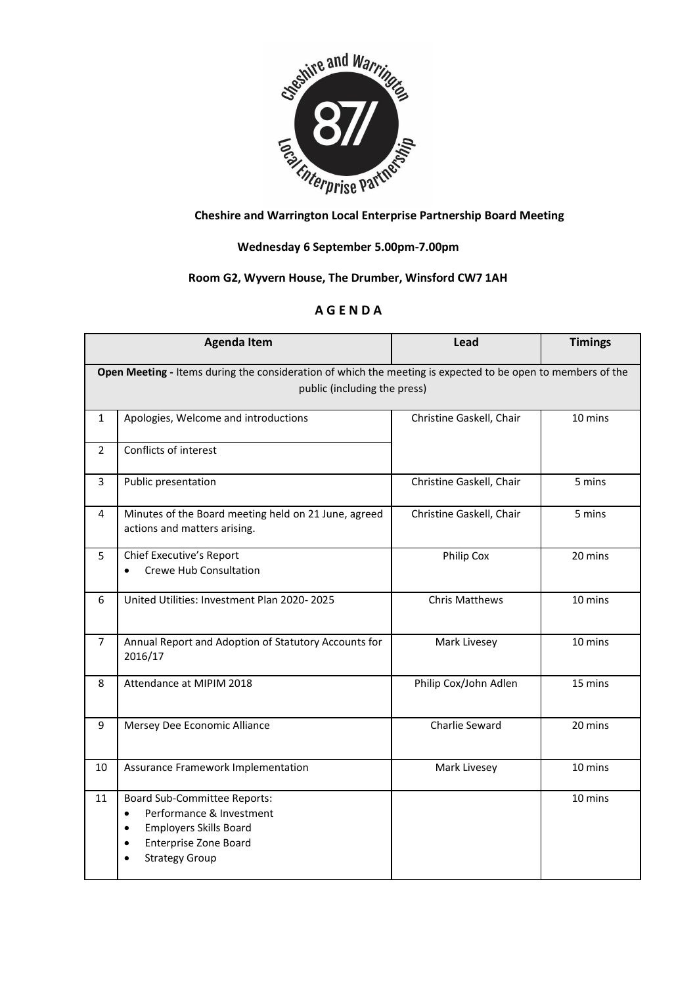

## **Wednesday 6 September 5.00pm-7.00pm**

## **Room G2, Wyvern House, The Drumber, Winsford CW7 1AH**

## **A G E N D A**

| <b>Agenda Item</b>                                                                                                                          |                                                                                                                                                                                     | Lead                     | <b>Timings</b> |  |
|---------------------------------------------------------------------------------------------------------------------------------------------|-------------------------------------------------------------------------------------------------------------------------------------------------------------------------------------|--------------------------|----------------|--|
| Open Meeting - Items during the consideration of which the meeting is expected to be open to members of the<br>public (including the press) |                                                                                                                                                                                     |                          |                |  |
| $\mathbf{1}$                                                                                                                                | Apologies, Welcome and introductions                                                                                                                                                | Christine Gaskell, Chair | 10 mins        |  |
| $\overline{2}$                                                                                                                              | Conflicts of interest                                                                                                                                                               |                          |                |  |
| 3                                                                                                                                           | Public presentation                                                                                                                                                                 | Christine Gaskell, Chair | 5 mins         |  |
| 4                                                                                                                                           | Minutes of the Board meeting held on 21 June, agreed<br>actions and matters arising.                                                                                                | Christine Gaskell, Chair | 5 mins         |  |
| 5                                                                                                                                           | Chief Executive's Report<br><b>Crewe Hub Consultation</b>                                                                                                                           | Philip Cox               | 20 mins        |  |
| 6                                                                                                                                           | United Utilities: Investment Plan 2020-2025                                                                                                                                         | <b>Chris Matthews</b>    | 10 mins        |  |
| $\overline{7}$                                                                                                                              | Annual Report and Adoption of Statutory Accounts for<br>2016/17                                                                                                                     | Mark Livesey             | 10 mins        |  |
| 8                                                                                                                                           | Attendance at MIPIM 2018                                                                                                                                                            | Philip Cox/John Adlen    | 15 mins        |  |
| 9                                                                                                                                           | Mersey Dee Economic Alliance                                                                                                                                                        | Charlie Seward           | 20 mins        |  |
| 10                                                                                                                                          | Assurance Framework Implementation                                                                                                                                                  | Mark Livesey             | 10 mins        |  |
| 11                                                                                                                                          | <b>Board Sub-Committee Reports:</b><br>Performance & Investment<br>$\bullet$<br><b>Employers Skills Board</b><br>$\bullet$<br><b>Enterprise Zone Board</b><br><b>Strategy Group</b> |                          | 10 mins        |  |